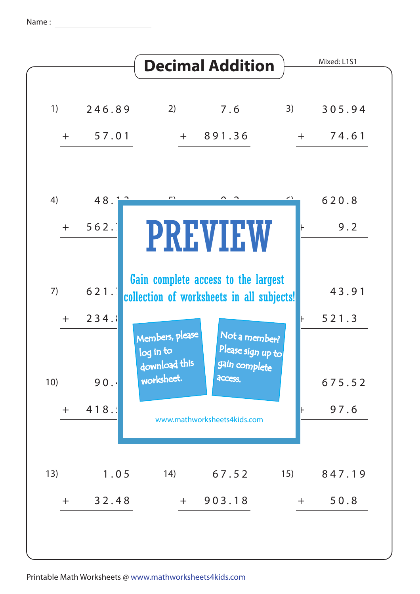